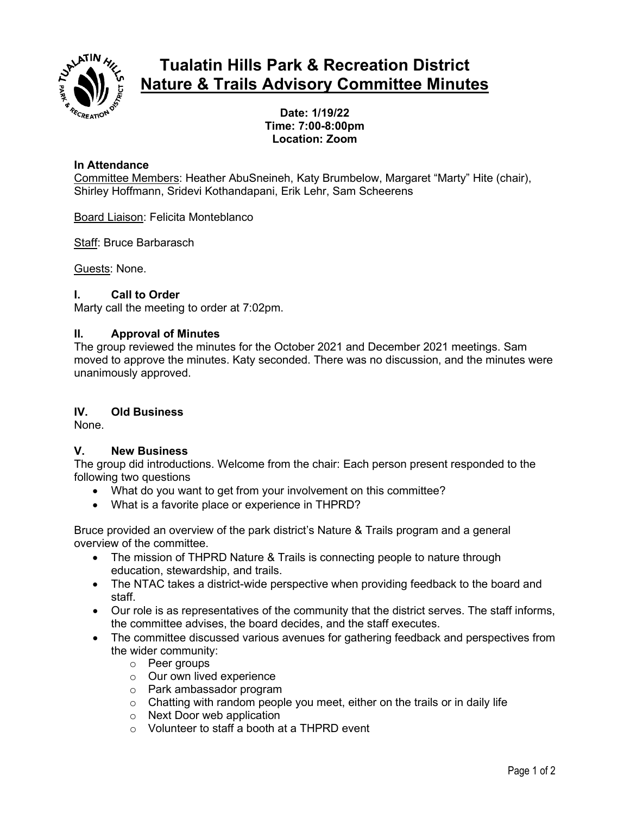

# **Tualatin Hills Park & Recreation District Nature & Trails Advisory Committee Minutes**

**Date: 1/19/22 Time: 7:00-8:00pm Location: Zoom**

### **In Attendance**

Committee Members: Heather AbuSneineh, Katy Brumbelow, Margaret "Marty" Hite (chair), Shirley Hoffmann, Sridevi Kothandapani, Erik Lehr, Sam Scheerens

Board Liaison: Felicita Monteblanco

Staff: Bruce Barbarasch

Guests: None.

## **I. Call to Order**

Marty call the meeting to order at 7:02pm.

#### **II. Approval of Minutes**

The group reviewed the minutes for the October 2021 and December 2021 meetings. Sam moved to approve the minutes. Katy seconded. There was no discussion, and the minutes were unanimously approved.

#### **IV. Old Business**

None.

#### **V. New Business**

The group did introductions. Welcome from the chair: Each person present responded to the following two questions

- What do you want to get from your involvement on this committee?
- What is a favorite place or experience in THPRD?

Bruce provided an overview of the park district's Nature & Trails program and a general overview of the committee.

- The mission of THPRD Nature & Trails is connecting people to nature through education, stewardship, and trails.
- The NTAC takes a district-wide perspective when providing feedback to the board and staff.
- Our role is as representatives of the community that the district serves. The staff informs, the committee advises, the board decides, and the staff executes.
- The committee discussed various avenues for gathering feedback and perspectives from the wider community:
	- o Peer groups
	- o Our own lived experience
	- o Park ambassador program
	- $\circ$  Chatting with random people you meet, either on the trails or in daily life
	- o Next Door web application
	- $\circ$  Volunteer to staff a booth at a THPRD event